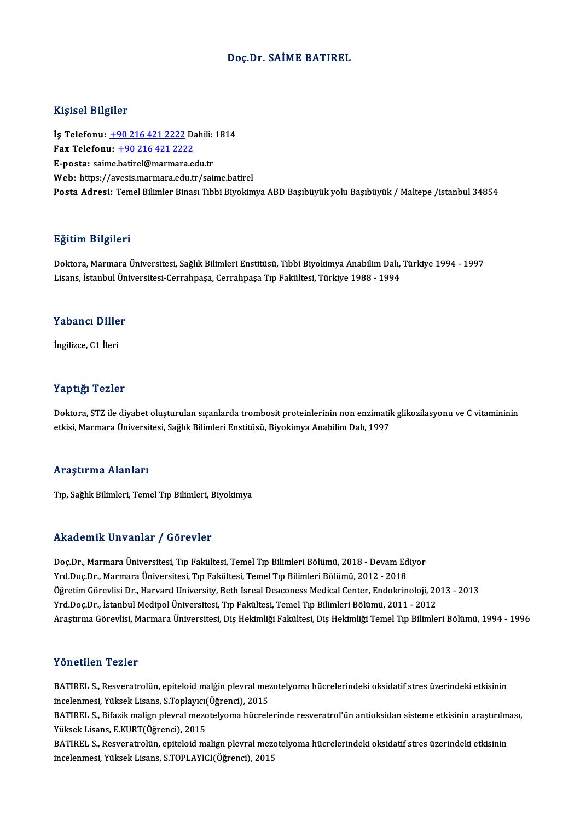### Doç.Dr. SAİME BATIREL

#### Kişisel Bilgiler

Kişisel Bilgiler<br>İş Telefonu: <u>+90 216 421 2222</u> Dahili: 1814<br>Fax Telefonu: 190 216 421 2222 1131001 21151101<br>İş Telefonu: <u>+90 216 421 2222</u> Da<br>Fax Telefonu: <u>+90 216 421 2222</u><br>Fansta: saime batirel@mermare.co İş Telefonu: <u>+90 216 421 2222</u> Dahili:<br>Fax Telefonu: <u>+90 216 421 2222</u><br>E-posta: sai[me.batirel@marmara.e](tel:+90 216 421 2222)du.tr<br>Web: https://avesis.marmara.edu.tr Fax Telefonu: <u>+90 216 421 2222</u><br>E-posta: saime.batirel@marmara.edu.tr<br>Web: https://avesis.marmara.edu.tr/saime.batirel Posta Adresi: Temel Bilimler Binası Tıbbi Biyokimya ABD Başıbüyük yolu Başıbüyük / Maltepe /istanbul 34854

### Eğitim Bilgileri

**Eğitim Bilgileri**<br>Doktora, Marmara Üniversitesi, Sağlık Bilimleri Enstitüsü, Tıbbi Biyokimya Anabilim Dalı, Türkiye 1994 - 1997<br>Lisans, İstanbul Üniversitesi Carrabnasa, Carrabnasa Tın Fakültesi, Türkiye 1999, 1994 Lisanan Daryarora<br>Doktora, Marmara Üniversitesi, Sağlık Bilimleri Enstitüsü, Tıbbi Biyokimya Anabilim Dalı,<br>Lisans, İstanbul Üniversitesi-Cerrahpaşa, Cerrahpaşa Tıp Fakültesi, Türkiye 1988 - 1994 Lisans, İstanbul Üniversitesi-Cerrahpaşa, Cerrahpaşa Tıp Fakültesi, Türkiye 1988 - 1994<br>Yabancı Diller

İngilizce,C1 İleri

### Yaptığı Tezler

Yaptığı Tezler<br>Doktora, STZ ile diyabet oluşturulan sıçanlarda trombosit proteinlerinin non enzimatik glikozilasyonu ve C vitamininin<br>etkisi Marmara Üniversitesi, Sağlık Pilimleri Enstitüsü, Piyokimya Anabilim Dalı 1997 rupusar romara<br>Doktora, STZ ile diyabet oluşturulan sıçanlarda trombosit proteinlerinin non enzimatil<br>etkisi, Marmara Üniversitesi, Sağlık Bilimleri Enstitüsü, Biyokimya Anabilim Dalı, 1997 etkisi, Marmara Üniversitesi, Sağlık Bilimleri Enstitüsü, Biyokimya Anabilim Dalı, 1997<br>Araştırma Alanları

Tıp, Sağlık Bilimleri, Temel Tıp Bilimleri, Biyokimya

#### Akademik Unvanlar / Görevler

Akademik Unvanlar / Görevler<br>Doç.Dr., Marmara Üniversitesi, Tıp Fakültesi, Temel Tıp Bilimleri Bölümü, 2018 - Devam Ediyor<br>Yrd Dos Dr., Marmara Üniversitesi, Tıp Fakültesi, Temel Tıp Bilimleri Bölümü, 2013 - 2019 Yrkuu Chrik "On vuritar" / "Göt Cvict"<br>Doç.Dr., Marmara Üniversitesi, Tıp Fakültesi, Temel Tıp Bilimleri Bölümü, 2018 - Devam Ed<br>Yrd.Doç.Dr., Marmara Üniversitesi, Tıp Fakültesi, Temel Tıp Bilimleri Bölümü, 2012 - 2018<br>Öğr Doç.Dr., Marmara Üniversitesi, Tıp Fakültesi, Temel Tıp Bilimleri Bölümü, 2018 - Devam Ediyor<br>Yrd.Doç.Dr., Marmara Üniversitesi, Tıp Fakültesi, Temel Tıp Bilimleri Bölümü, 2012 - 2018<br>Öğretim Görevlisi Dr., Harvard Univers Yrd.Doç.Dr., Marmara Üniversitesi, Tıp Fakültesi, Temel Tıp Bilimleri Bölümü, 2012 - 2018<br>Öğretim Görevlisi Dr., Harvard University, Beth Isreal Deaconess Medical Center, Endokrinoloji, 20<br>Yrd.Doç.Dr., İstanbul Medipol Üni Yrd.Doç.Dr., İstanbul Medipol Üniversitesi, Tıp Fakültesi, Temel Tıp Bilimleri Bölümü, 2011 - 2012<br>Araştırma Görevlisi, Marmara Üniversitesi, Diş Hekimliği Fakültesi, Diş Hekimliği Temel Tıp Bilimleri Bölümü, 1994 - 1996

### Yönetilen Tezler

Yönetilen Tezler<br>BATIREL S., Resveratrolün, epiteloid malġin plevral mezotelyoma hücrelerindeki oksidatif stres üzerindeki etkisinin<br>inselenmesi Yüksek Lisans, S.Tankurg(Öğrensi), 2015 1 SIFSENSI, TSINSI<br>BATIREL S., Resveratrolün, epiteloid malgin plevral mez<br>incelenmesi, Yüksek Lisans, S.Toplayıcı(Öğrenci), 2015<br>BATIREL S. Bifarik malign playral maratalyama büsyale BATIREL S., Resveratrolün, epiteloid malgin plevral mezotelyoma hücrelerindeki oksidatif stres üzerindeki etkisinin<br>incelenmesi, Yüksek Lisans, S.Toplayıcı(Öğrenci), 2015<br>BATIREL S., Bifazik malign plevral mezotelyoma hücr

incelenmesi, Yüksek Lisans, S.Toplayıcı(Öğrenci), 2015<br>BATIREL S., Bifazik malign plevral mezotelyoma hücrelerinde resveratrol'ün antioksidan sisteme etkisinin araştırılm<br>Yüksek Lisans, E.KURT(Öğrenci), 2015<br>BATIREL S., Re BATIREL S., Bifazik malign plevral mezotelyoma hücrelerinde resveratrol'ün antioksidan sisteme etkisinin araştırılm<br>Yüksek Lisans, E.KURT(Öğrenci), 2015<br>BATIREL S., Resveratrolün, epiteloid malign plevral mezotelyoma hücre

incelenmesi, Yüksek Lisans, S.TOPLAYICI(Öğrenci), 2015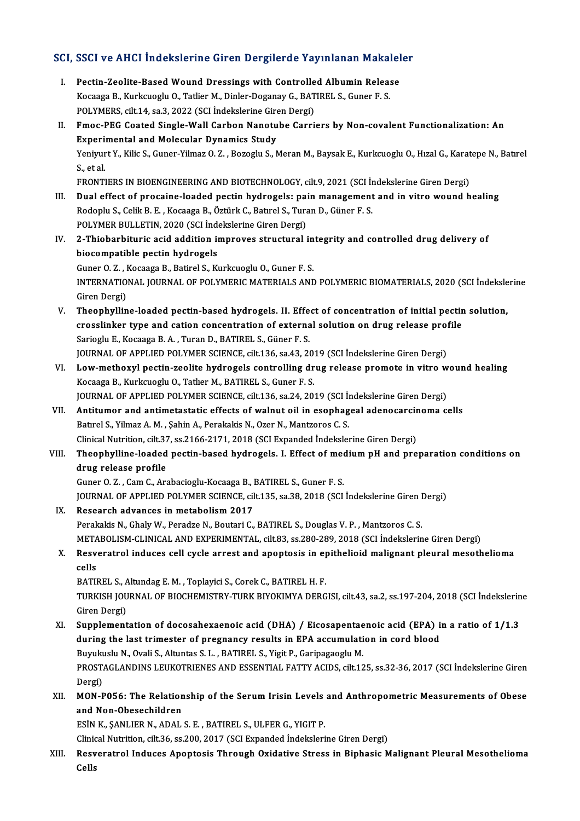# SCI, SSCI ve AHCI İndekslerine Giren Dergilerde Yayınlanan Makaleler<br>Makaleler

- CI, SSCI ve AHCI İndekslerine Giren Dergilerde Yayınlanan Makalel<br>I. Pectin-Zeolite-Based Wound Dressings with Controlled Albumin Release<br>Kessasa B. Kurksusslu O. Tetliar M. Dinlar Desanay G. BATIBELS, Gunar E.S. I. Pectin-Zeolite-Based Wound Dressings with Controlled Albumin Release<br>Kocaaga B., Kurkcuoglu O., Tatlier M., Dinler-Doganay G., BATIREL S., Guner F. S. Pectin-Zeolite-Based Wound Dressings with Controlle<br>Kocaaga B., Kurkcuoglu O., Tatlier M., Dinler-Doganay G., BAT<br>POLYMERS, cilt.14, sa.3, 2022 (SCI İndekslerine Giren Dergi)<br>Emas PEC Coated Single Wall Carbon Napatube Car II. Fmoc-PEG Coated Single-Wall Carbon Nanotube Carriers by Non-covalent Functionalization: An<br>Experimental and Molecular Dynamics Study POLYMERS, cilt.14, sa.3, 2022 (SCI İndekslerine Gire<br>Fmoc-PEG Coated Single-Wall Carbon Nanotu<br>Experimental and Molecular Dynamics Study<br>Vonimut V. Kilja S. Cuner Vilmer O. 7 - Bereglu S. N Fmoc-PEG Coated Single-Wall Carbon Nanotube Carriers by Non-covalent Functionalization: An<br>Experimental and Molecular Dynamics Study<br>Yeniyurt Y., Kilic S., Guner-Yilmaz O. Z. , Bozoglu S., Meran M., Baysak E., Kurkcuoglu O Experi<br>Yeniyur<br>S., et al.<br>ERONTI Yeniyurt Y., Kilic S., Guner-Yilmaz O. Z. , Bozoglu S., Meran M., Baysak E., Kurkcuoglu O., Hızal G., Karat<br>S., et al.<br>FRONTIERS IN BIOENGINEERING AND BIOTECHNOLOGY, cilt.9, 2021 (SCI İndekslerine Giren Dergi)<br>Dual effect S., et al.<br>FRONTIERS IN BIOENGINEERING AND BIOTECHNOLOGY, cilt.9, 2021 (SCI Indekslerine Giren Dergi)<br>III. Dual effect of procaine-loaded pectin hydrogels: pain management and in vitro wound healing<br>Redeply S. Gelil: B. E. FRONTIERS IN BIOENGINEERING AND BIOTECHNOLOGY, cilt.9, 2021 (SCI İr<br>Dual effect of procaine-loaded pectin hydrogels: pain management<br>Rodoplu S., Celik B. E. , Kocaaga B., Öztürk C., Batırel S., Turan D., Güner F. S.<br>POLYME Dual effect of procaine-loaded pectin hydrogels: pai<br>Rodoplu S., Celik B. E. , Kocaaga B., Öztürk C., Batırel S., Tura<br>POLYMER BULLETIN, 2020 (SCI İndekslerine Giren Dergi)<br>2. Thiobarhituris asid addition improves structur Rodoplu S., Celik B. E. , Kocaaga B., Öztürk C., Batırel S., Turan D., Güner F. S.<br>POLYMER BULLETIN, 2020 (SCI İndekslerine Giren Dergi)<br>IV. 2-Thiobarbituric acid addition improves structural integrity and controlled drug POLYMER BULLETIN, 2020 (SCI Independent<br>2-Thiobarbituric acid addition in<br>biocompatible pectin hydrogels<br>Cuner 0.7 - Kessaga B, Batirel S, Kr 2-Thiobarbituric acid addition improves structural in<br>biocompatible pectin hydrogels<br>Guner O. Z. , Kocaaga B., Batirel S., Kurkcuoglu O., Guner F. S.<br>INTERNATIONAL JOURNAL OF POLYMERIC MATERIALS AND biocompatible pectin hydrogels<br>Guner O. Z. , Kocaaga B., Batirel S., Kurkcuoglu O., Guner F. S.<br>INTERNATIONAL JOURNAL OF POLYMERIC MATERIALS AND POLYMERIC BIOMATERIALS, 2020 (SCI İndekslerine<br>Ciron Dergi) Guner O. Z. , I<br>INTERNATIO<br>Giren Dergi)<br>Theonbyllin INTERNATIONAL JOURNAL OF POLYMERIC MATERIALS AND POLYMERIC BIOMATERIALS, 2020 (SCI indeksle<br>Giren Dergi)<br>V. Theophylline-loaded pectin-based hydrogels. II. Effect of concentration of initial pectin solution,<br>areasolinker t Giren Dergi)<br>Theophylline-loaded pectin-based hydrogels. II. Effect of concentration of initial pectin<br>crosslinker type and cation concentration of external solution on drug release profile<br>Sariagly E. Kossage B.A., Turen Theophylline-loaded pectin-based hydrogels. II. Effe<br>crosslinker type and cation concentration of externa<br>Sarioglu E., Kocaaga B.A. , Turan D., BATIREL S., Güner F.S.<br>JOUPMAL OF APPLIED POLYMER SCIENCE silt 126 ss 42, 24 crosslinker type and cation concentration of external solution on drug release prof<br>Sarioglu E., Kocaaga B. A. , Turan D., BATIREL S., Güner F. S.<br>JOURNAL OF APPLIED POLYMER SCIENCE, cilt.136, sa.43, 2019 (SCI İndekslerine Sarioglu E., Kocaaga B. A. , Turan D., BATIREL S., Güner F. S.<br>JOURNAL OF APPLIED POLYMER SCIENCE, cilt.136, sa.43, 2019 (SCI İndekslerine Giren Dergi)<br>VI. Low-methoxyl pectin-zeolite hydrogels controlling drug release pro JOURNAL OF APPLIED POLYMER SCIENCE, cilt.136, sa.43, 20<br>Low-methoxyl pectin-zeolite hydrogels controlling dr<br>Kocaaga B., Kurkcuoglu O., Tatlıer M., BATIREL S., Guner F. S.<br>JOURNAL OF APPLIED POLYMER SCIENCE, silt 136, sa.2 Low-methoxyl pectin-zeolite hydrogels controlling drug release promote in vitro w<br>Kocaaga B., Kurkcuoglu O., Tatlıer M., BATIREL S., Guner F. S.<br>JOURNAL OF APPLIED POLYMER SCIENCE, cilt.136, sa.24, 2019 (SCI İndekslerine G Kocaaga B., Kurkcuoglu O., Tatlier M., BATIREL S., Guner F. S.<br>JOURNAL OF APPLIED POLYMER SCIENCE, cilt.136, sa.24, 2019 (SCI İndekslerine Giren Dergi)<br>VII. Antitumor and antimetastatic effects of walnut oil in esophageal JOURNAL OF APPLIED POLYMER SCIENCE, cilt.136, sa.24, 2019 (SCI İn<br>Antitumor and antimetastatic effects of walnut oil in esophag<br>Batırel S., Yilmaz A.M., Şahin A., Perakakis N., Ozer N., Mantzoros C. S.<br>Clinical Nutrition, Antitumor and antimetastatic effects of walnut oil in esophageal adenocarcin<br>Batırel S., Yilmaz A. M. , Şahin A., Perakakis N., Ozer N., Mantzoros C. S.<br>Clinical Nutrition, cilt.37, ss.2166-2171, 2018 (SCI Expanded İndeksl Batırel S., Yilmaz A. M. , Şahin A., Perakakis N., Ozer N., Mantzoros C. S.<br>Clinical Nutrition, cilt.37, ss.2166-2171, 2018 (SCI Expanded Indekslerine Giren Dergi)<br>VIII. Theophylline-loaded pectin-based hydrogels. I. E Clinical Nutrition, cilt.37<br>Theophylline-loaded<br>drug release profile<br>Cuner 0.7 - Cam C. Ar Theophylline-loaded pectin-based hydrogels. I. Effect of med<br>drug release profile<br>Guner O. Z. , Cam C., Arabacioglu-Kocaaga B., BATIREL S., Guner F. S.<br>JOUPMAL OF APPLIED POLYMER SCIENCE, silt 125, sa 29, 2019 (SCI drug release profile<br>Guner O. Z. , Cam C., Arabacioglu-Kocaaga B., BATIREL S., Guner F. S.<br>JOURNAL OF APPLIED POLYMER SCIENCE, cilt.135, sa.38, 2018 (SCI İndekslerine Giren Dergi)<br>Researsh advanses in metabelism 2017 Guner O. Z., Cam C., Arabacioglu-Kocaaga B., J<br>JOURNAL OF APPLIED POLYMER SCIENCE, cil<br>IX. Research advances in metabolism 2017<br>Research advances in metabolism 2017 JOURNAL OF APPLIED POLYMER SCIENCE, cilt.135, sa.38, 2018 (SCI İndekslerine Giren I<br>Research advances in metabolism 2017<br>Perakakis N., Ghaly W., Peradze N., Boutari C., BATIREL S., Douglas V. P. , Mantzoros C. S.<br>METAPOLIS IX. Research advances in metabolism 2017<br>Perakakis N., Ghaly W., Peradze N., Boutari C., BATIREL S., Douglas V. P. , Mantzoros C. S.<br>METABOLISM-CLINICAL AND EXPERIMENTAL, cilt.83, ss.280-289, 2018 (SCI İndekslerine Giren D Perakakis N., Ghaly W., Peradze N., Boutari C., BATIREL S., Douglas V. P. , Mantzoros C. S.<br>METABOLISM-CLINICAL AND EXPERIMENTAL, cilt.83, ss.280-289, 2018 (SCI İndekslerine Giren Dergi)<br>X. Resveratrol induces cell cycle a META<br>Resv<br>cells<br>PATII Resveratrol induces cell cycle arrest and apoptosis in e<sub>l</sub><br>cells<br>BATIREL S., Altundag E. M. , Toplayici S., Corek C., BATIREL H. F.<br>TURKISH JOURNAL OF RIOCHEMISTRY TURK BIVOKIMYA DERC cells<br>BATIREL S., Altundag E. M. , Toplayici S., Corek C., BATIREL H. F.<br>TURKISH JOURNAL OF BIOCHEMISTRY-TURK BIYOKIMYA DERGISI, cilt.43, sa.2, ss.197-204, 2018 (SCI İndekslerine<br>Giren Dergi) BATIREL S., Altundag E. M., Toplayici S., Corek C., BATIREL H. F. TURKISH JOURNAL OF BIOCHEMISTRY-TURK BIYOKIMYA DERGISI, cilt.43, sa.2, ss.197-204, 2018 (SCI İndekslerin<br>Giren Dergi)<br>XI. Supplementation of docosahexaenoic acid (DHA) / Eicosapentaenoic acid (EPA) in a ratio of 1/1.3<br>duri Giren Dergi)<br>Supplementation of docosahexaenoic acid (DHA) / Eicosapentaenoic acid (EPA) i:<br>during the last trimester of pregnancy results in EPA accumulation in cord blood<br>Burylardy N. Orali S. Alturtes S. L. BATIBELS, Vi Supplementation of docosahexaenoic acid (DHA) / Eicosapentae<br>during the last trimester of pregnancy results in EPA accumulati<br>Buyukuslu N., Ovali S., Altuntas S. L. , BATIREL S., Yigit P., Garipagaoglu M.<br>PROSTACLANDINS LE during the last trimester of pregnancy results in EPA accumulation in cord blood<br>Buyukuslu N., Ovali S., Altuntas S. L. , BATIREL S., Yigit P., Garipagaoglu M.<br>PROSTAGLANDINS LEUKOTRIENES AND ESSENTIAL FATTY ACIDS, cilt.12 Buyukuslu N., Ovali S., Altuntas S. L., BATIREL S., Yigit P., Garipagaoglu M. PROSTAGLANDINS LEUKOTRIENES AND ESSENTIAL FATTY ACIDS, cilt.125, ss.32-36, 2017 (SCI İndekslerine Giren<br>Dergi)<br>XII. MON-P056: The Relationship of the Serum Irisin Levels and Anthropometric Measurements of Obese<br>and Nan Obe Dergi)<br>MON-P056: The Relation<br>and Non-Obesechildren<br>ESIN K. SANLIER N. ADAL and Non-Obesechildren<br>ESİN K., ŞANLIER N., ADAL S. E. , BATIREL S., ULFER G., YIGIT P. Clinical Nutrition, cilt.36, ss.200, 2017 (SCI Expanded İndekslerine Giren Dergi) ESİN K., ŞANLIER N., ADAL S. E. , BATIREL S., ULFER G., YIGIT P.<br>Clinical Nutrition, cilt.36, ss.200, 2017 (SCI Expanded İndekslerine Giren Dergi)<br>XIII. Resveratrol Induces Apoptosis Through Oxidative Stress in Biphasi
- Clinic<br>Res<mark>v</mark><br>Cells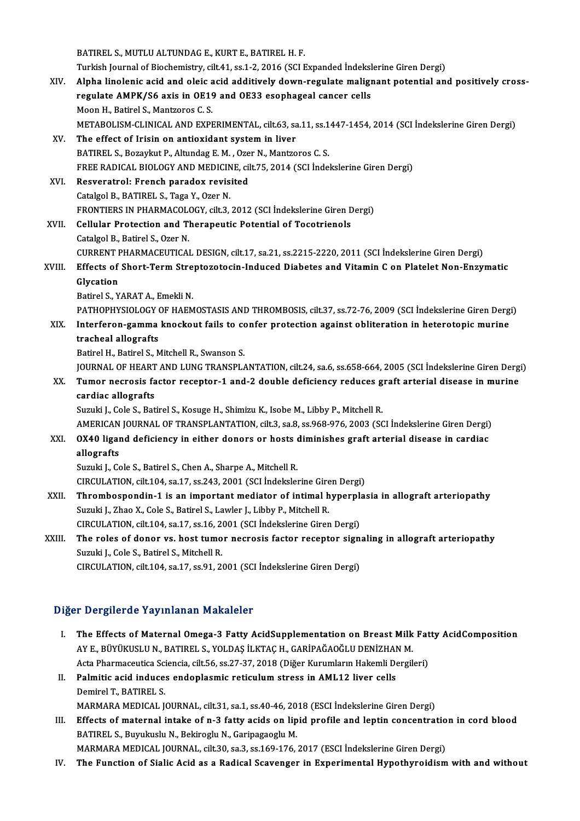|        | BATIREL S., MUTLU ALTUNDAG E., KURT E., BATIREL H. F.                                                     |
|--------|-----------------------------------------------------------------------------------------------------------|
|        | Turkish Journal of Biochemistry, cilt.41, ss.1-2, 2016 (SCI Expanded İndekslerine Giren Dergi)            |
| XIV.   | Alpha linolenic acid and oleic acid additively down-regulate malignant potential and positively cross-    |
|        | regulate AMPK/S6 axis in OE19 and OE33 esophageal cancer cells                                            |
|        | Moon H., Batirel S., Mantzoros C. S.                                                                      |
|        | METABOLISM-CLINICAL AND EXPERIMENTAL, cilt.63, sa.11, ss.1447-1454, 2014 (SCI İndekslerine Giren Dergi)   |
| XV.    | The effect of Irisin on antioxidant system in liver                                                       |
|        | BATIREL S., Bozaykut P., Altundag E. M., Ozer N., Mantzoros C. S.                                         |
|        | FREE RADICAL BIOLOGY AND MEDICINE, cilt.75, 2014 (SCI İndekslerine Giren Dergi)                           |
| XVI.   | Resveratrol: French paradox revisited                                                                     |
|        | Catalgol B., BATIREL S., Taga Y., Ozer N.                                                                 |
|        | FRONTIERS IN PHARMACOLOGY, cilt.3, 2012 (SCI İndekslerine Giren Dergi)                                    |
| XVII.  | <b>Cellular Protection and Therapeutic Potential of Tocotrienols</b>                                      |
|        | Catalgol B., Batirel S., Ozer N.                                                                          |
|        | CURRENT PHARMACEUTICAL DESIGN, cilt.17, sa.21, ss.2215-2220, 2011 (SCI İndekslerine Giren Dergi)          |
| XVIII. | Effects of Short-Term Streptozotocin-Induced Diabetes and Vitamin C on Platelet Non-Enzymatic             |
|        | Glycation                                                                                                 |
|        | Batirel S., YARAT A., Emekli N.                                                                           |
|        | PATHOPHYSIOLOGY OF HAEMOSTASIS AND THROMBOSIS, cilt.37, ss.72-76, 2009 (SCI Indekslerine Giren Dergi)     |
| XIX.   | Interferon-gamma knockout fails to confer protection against obliteration in heterotopic murine           |
|        | tracheal allografts                                                                                       |
|        | Batirel H., Batirel S., Mitchell R., Swanson S.                                                           |
|        | JOURNAL OF HEART AND LUNG TRANSPLANTATION, cilt.24, sa.6, ss.658-664, 2005 (SCI Indekslerine Giren Dergi) |
| XX.    | Tumor necrosis factor receptor-1 and-2 double deficiency reduces graft arterial disease in murine         |
|        | cardiac allografts                                                                                        |
|        | Suzuki J., Cole S., Batirel S., Kosuge H., Shimizu K., Isobe M., Libby P., Mitchell R.                    |
|        | AMERICAN JOURNAL OF TRANSPLANTATION, cilt.3, sa.8, ss.968-976, 2003 (SCI Indekslerine Giren Dergi)        |
| XXI.   | OX40 ligand deficiency in either donors or hosts diminishes graft arterial disease in cardiac             |
|        | allografts                                                                                                |
|        | Suzuki J., Cole S., Batirel S., Chen A., Sharpe A., Mitchell R.                                           |
|        | CIRCULATION, cilt.104, sa.17, ss.243, 2001 (SCI Indekslerine Giren Dergi)                                 |
| XXII.  | Thrombospondin-1 is an important mediator of intimal hyperplasia in allograft arteriopathy                |
|        | Suzuki J., Zhao X., Cole S., Batirel S., Lawler J., Libby P., Mitchell R.                                 |
|        | CIRCULATION, cilt.104, sa.17, ss.16, 2001 (SCI Indekslerine Giren Dergi)                                  |
| XXIII. | The roles of donor vs. host tumor necrosis factor receptor signaling in allograft arteriopathy            |
|        | Suzuki J., Cole S., Batirel S., Mitchell R.                                                               |
|        | CIRCULATION, cilt.104, sa.17, ss.91, 2001 (SCI Indekslerine Giren Dergi)                                  |

## Diğer Dergilerde Yayınlanan Makaleler

- Iger Dergilerde Yayınlanan Makaleler<br>I. The Effects of Maternal Omega-3 Fatty AcidSupplementation on Breast Milk Fatty AcidComposition<br>AVE PÜVÜKUSLUN PATIRELS YOLDAS İLKTAC H-CARİRAĞAQĞLU PENİZHAN M AYE., BÜYÜKUSLU N., BATIREL S., YOLDAŞ İLKTAÇH., GARİPAĞAOĞLU DENİZHAN M.<br>AYE., BÜYÜKUSLU N., BATIREL S., YOLDAŞ İLKTAÇH., GARİPAĞAOĞLU DENİZHAN M.<br>Asta Pharmasautisa Ssiansia, silt 56, ss 27, 22, 2019. (Diğar Kurumların H The Effects of Maternal Omega-3 Fatty AcidSupplementation on Breast Milk Fat<br>AY E., BÜYÜKUSLU N., BATIREL S., YOLDAŞ İLKTAÇ H., GARİPAĞAOĞLU DENİZHAN M.<br>Acta Pharmaceutica Sciencia, cilt.56, ss.27-37, 2018 (Diğer Kurumları AY E., BÜYÜKUSLU N., BATIREL S., YOLDAŞ İLKTAÇ H., GARİPAĞAOĞLU DENİZHAN M.<br>Acta Pharmaceutica Sciencia, cilt.56, ss.27-37, 2018 (Diğer Kurumların Hakemli Dergil<br>II. Palmitic acid induces endoplasmic reticulum stress in AM Acta Pharmaceutica Sciencia, cilt.56, ss.27-37, 2018 (Diğer Kurumların Hakemli Dergileri)
- MARMARA MEDICAL JOURNAL, cilt.31, sa.1, ss.40-46, 2018 (ESCI İndekslerine Giren Dergi)
- Demirel T., BATIREL S.<br>MARMARA MEDICAL JOURNAL, cilt.31, sa.1, ss.40-46, 2018 (ESCI İndekslerine Giren Dergi)<br>III. Effects of maternal intake of n-3 fatty acids on lipid profile and leptin concentration in cord blood<br>PATIR MARMARA MEDICAL JOURNAL, cilt.31, sa.1, ss.40-46, 20<br>Effects of maternal intake of n-3 fatty acids on lip<br>BATIREL S., Buyukuslu N., Bekiroglu N., Garipagaoglu M.<br>MARMARA MEDICAL JOURNAL, silt 20, ss.2, ss.160, 176 Effects of maternal intake of n-3 fatty acids on lipid profile and leptin concentratio<br>BATIREL S., Buyukuslu N., Bekiroglu N., Garipagaoglu M.<br>MARMARA MEDICAL JOURNAL, cilt.30, sa.3, ss.169-176, 2017 (ESCI İndekslerine Gir BATIREL S., Buyukuslu N., Bekiroglu N., Garipagaoglu M.<br>MARMARA MEDICAL JOURNAL, cilt.30, sa.3, ss.169-176, 2017 (ESCI İndekslerine Giren Dergi)<br>IV. The Function of Sialic Acid as a Radical Scavenger in Experimental Hy
-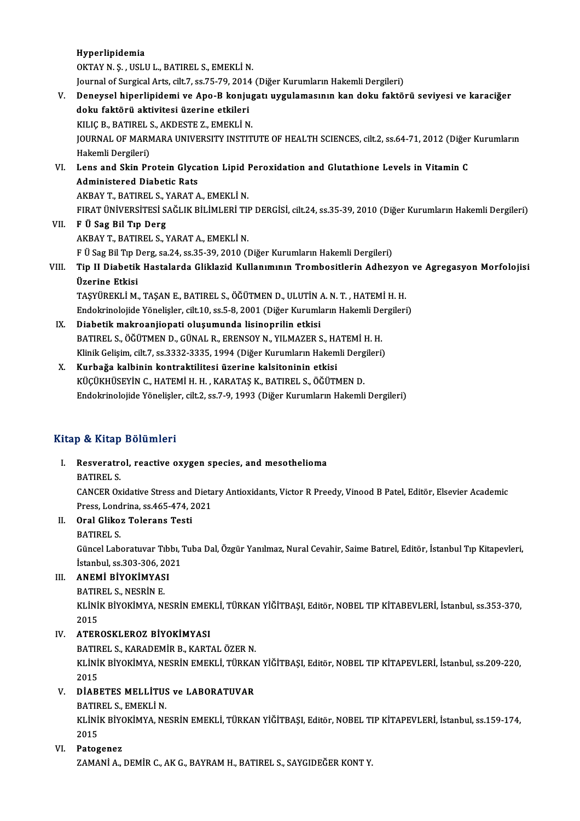Hyperlipidemia

OKTAY N.Ş., USLU L., BATIREL S., EMEKLİN.

Journal of Surgical Arts, cilt.7, ss.75-79, 2014 (Diğer Kurumların Hakemli Dergileri)

- OKTAY N. Ş. , USLU L., BATIREL S., EMEKLİ N.<br>Journal of Surgical Arts, cilt.7, ss.75-79, 2014 (Diğer Kurumların Hakemli Dergileri)<br>V. Deneysel hiperlipidemi ve Apo-B konjugatı uygulamasının kan doku faktörü seviyesi ve Journal of Surgical Arts, cilt.7, ss.75-79, 2014<br>Deneysel hiperlipidemi ve Apo-B konju<br>doku faktörü aktivitesi üzerine etkileri<br>KULC B BATIBELS, AKDESTE 7, EMEKLİ N Deneysel hiperlipidemi ve Apo-B konjug<br>doku faktörü aktivitesi üzerine etkileri<br>KILIÇ B., BATIREL S., AKDESTE Z., EMEKLİ N.<br>JOUPNAL OE MAPMARA UNIVERSITY INSTIT doku faktörü aktivitesi üzerine etkileri<br>KILIÇ B., BATIREL S., AKDESTE Z., EMEKLİ N.<br>JOURNAL OF MARMARA UNIVERSITY INSTITUTE OF HEALTH SCIENCES, cilt.2, ss.64-71, 2012 (Diğer Kurumların<br>Hakamli Dargilari) KILIÇ B., BATIREL S<br>JOURNAL OF MARN<br>Hakemli Dergileri)<br>Lans and Skin Br JOURNAL OF MARMARA UNIVERSITY INSTITUTE OF HEALTH SCIENCES, cilt.2, ss.64-71, 2012 (Diğer Hakemli Dergileri)<br>VI. Lens and Skin Protein Glycation Lipid Peroxidation and Glutathione Levels in Vitamin C<br>Administered Disbatis Hakemli Dergileri)<br>Lens and Skin Protein Glyca<br>Administered Diabetic Rats<br>AKRAV T. RATIDELS, MARAT A Lens and Skin Protein Glycation Lipid I<br>Administered Diabetic Rats<br>AKBAY T., BATIREL S., YARAT A., EMEKLİ N.<br>EIPAT ÜNİVERSİTESİ SAĞLIK RİLİMLERİ TU Administered Diabetic Rats<br>AKBAY T., BATIREL S., YARAT A., EMEKLİ N.<br>FIRAT ÜNİVERSİTESİ SAĞLIK BİLİMLERİ TIP DERGİSİ, cilt.24, ss.35-39, 2010 (Diğer Kurumların Hakemli Dergileri)
- VII. F Ü Sag Bil Tıp Derg
- AKBAYT.,BATIREL S.,YARATA.,EMEKLİN. F Ü Sag Bil Tıp Derg, sa.24, ss.35-39, 2010 (Diğer Kurumların Hakemli Dergileri) AKBAY T., BATIREL S., YARAT A., EMEKLİ N.<br>F Ü Sag Bil Tıp Derg, sa.24, ss.35-39, 2010 (Diğer Kurumların Hakemli Dergileri)<br>VIII. Tip II Diabetik Hastalarda Gliklazid Kullanımının Trombositlerin Adhezyon ve Agregasyon M

# F Ü Sag Bil Tıp I<br><mark>Tip II Diabetik</mark><br>Üzerine Etkisi<br>TASVÜREKLİ M Tip II Diabetik Hastalarda Gliklazid Kullanımının Trombositlerin Adhezyon<br>Üzerine Etkisi<br>TAŞYÜREKLİ M., TAŞAN E., BATIREL S., ÖĞÜTMEN D., ULUTİN A. N. T. , HATEMİ H. H.<br>Endekrinelejide Yönelisler, silt 10, se 5, 9, 2001 (D

Üzerine Etkisi<br>TAŞYÜREKLİ M., TAŞAN E., BATIREL S., ÖĞÜTMEN D., ULUTİN A. N. T. , HATEMİ H. H.<br>Endokrinolojide Yönelişler, cilt.10, ss.5-8, 2001 (Diğer Kurumların Hakemli Dergileri)

- IX. Diabetikmakroanjiopati oluşumunda lisinoprilin etkisi Endokrinolojide Yönelişler, cilt.10, ss.5-8, 2001 (Diğer Kurumların Hakemli De<br>Diabetik makroanjiopati oluşumunda lisinoprilin etkisi<br>BATIREL S., ÖĞÜTMEN D., GÜNAL R., ERENSOY N., YILMAZER S., HATEMİ H. H.<br>Klinik Celisim s Diabetik makroanjiopati oluşumunda lisinoprilin etkisi<br>BATIREL S., ÖĞÜTMEN D., GÜNAL R., ERENSOY N., YILMAZER S., HATEMİ H. H.<br>Klinik Gelişim, cilt.7, ss.3332-3335, 1994 (Diğer Kurumların Hakemli Dergileri)<br>Kurbağa kalbini BATIREL S., ÖĞÜTMEN D., GÜNAL R., ERENSOY N., YILMAZER S., H.<br>Klinik Gelişim, cilt.7, ss.3332-3335, 1994 (Diğer Kurumların Hakem<br>X. Kurbağa kalbinin kontraktilitesi üzerine kalsitoninin etkisi
- Klinik Gelişim, cilt.7, ss.3332-3335, 1994 (Diğer Kurumların Hakemli Dergileri)<br>X. Kurbağa kalbinin kontraktilitesi üzerine kalsitoninin etkisi<br>KÜÇÜKHÜSEYİN C., HATEMİ H. H. , KARATAŞ K., BATIREL S., ÖĞÜTMEN D. Endokrinolojide Yönelişler, cilt.2, ss.7-9, 1993 (Diğer Kurumların Hakemli Dergileri)

# Kitap & Kitap Bölümleri

- Itap & Kitap Bölümleri<br>I. Resveratrol, reactive oxygen species, and mesothelioma<br>RATIRELS P & Hitap<br>Resveratre<br>BATIREL S. Resveratrol, reactive oxygen species, and mesothelioma<br>BATIREL S.<br>CANCER Oxidative Stress and Dietary Antioxidants, Victor R Preedy, Vinood B Patel, Editör, Elsevier Academic<br>Press, Londrine, es 465,474,2021 BATIREL S.<br>CANCER Oxidative Stress and Dieta<br>Press, Londrina, ss.465-474, 2021<br>Orel Cliker Telerans Testi Press, Londrina, ss. 465-474, 2021
- II. Oral Glikoz Tolerans Testi<br>BATIREL S.
	-

Oral Glikoz Tolerans Testi<br>BATIREL S.<br>Güncel Laboratuvar Tıbbı, Tuba Dal, Özgür Yanılmaz, Nural Cevahir, Saime Batırel, Editör, İstanbul Tıp Kitapevleri, BATIREL S.<br>Güncel Laboratuvar Tıbbı, "<br>İstanbul, ss.303-306, 2021<br>ANEMİ PİVOKİMYASI

# Istanbul, ss.303-306, 2021<br>III. ANEMİ BİYOKİMYASI

BATIREL S., NESRİN E. ANEMİ BİYOKİMYASI<br>BATIREL S., NESRİN E.<br>KLİNİK BİYOKİMYA, NESRİN EMEKLİ, TÜRKAN YİĞİTBAŞI, Editör, NOBEL TIP KİTABEVLERİ, İstanbul, ss.353-370, **BATIR<br>KLINI<br>2015<br>ATEP** IV. ATEROSKLEROZ BİYOKİMYASI

BATIREL S., KARADEMİR B., KARTAL ÖZERN. ATEROSKLEROZ BİYOKİMYASI<br>BATIREL S., KARADEMİR B., KARTAL ÖZER N.<br>KLİNİK BİYOKİMYA, NESRİN EMEKLİ, TÜRKAN YİĞİTBAŞI, Editör, NOBEL TIP KİTAPEVLERİ, İstanbul, ss.209-220, **BATIR<br>KLİNİ**<br>2015<br>DİARI KLİNİK BİYOKİMYA, NESRİN EMEKLİ, TÜRKAN<br>2015<br>V. DİABETES MELLİTUS ve LABORATUVAR<br>PATIBELS, EMEKLİ N 2015<br><mark>DİABETES MELLİTU</mark>S<br>BATIREL S., EMEKLİ N.<br>ELİNİE RİYOKİMYA NE

DİABETES MELLİTUS ve LABORATUVAR<br>BATIREL S., EMEKLİ N.<br>KLİNİK BİYOKİMYA, NESRİN EMEKLİ, TÜRKAN YİĞİTBAŞI, Editör, NOBEL TIP KİTAPEVLERİ, İstanbul, ss.159-174,<br>2015 BATIR<br>KLİNİ<br>2015<br>Pates

# 2015<br>VI. Patogenez

ZAMANİA., DEMİR C., AK G., BAYRAM H., BATIREL S., SAYGIDEĞER KONTY.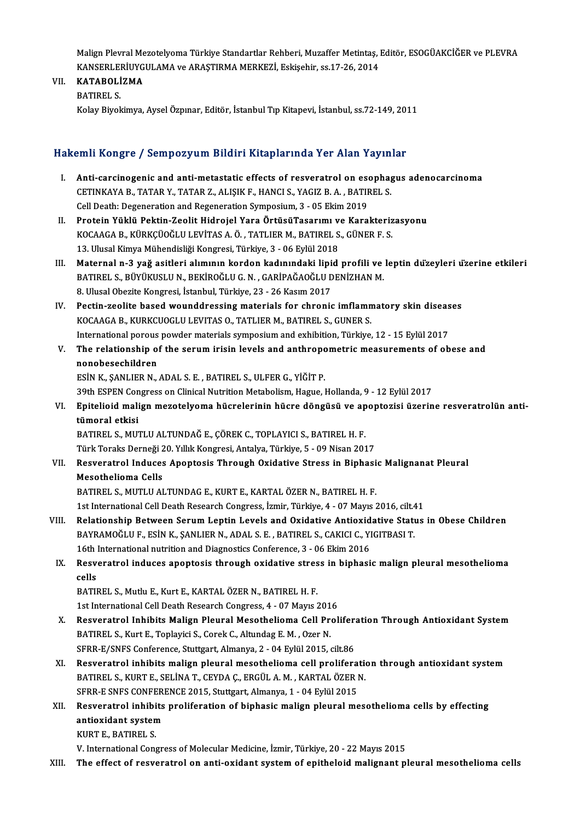Malign Plevral Mezotelyoma Türkiye Standartlar Rehberi, Muzaffer Metintaş, Editör, ESOGÜAKCİĞER ve PLEVRA<br>KANSERI ERİJIYCIJI AMA ve ARASTIRMA MERKEZİ, Eskişebin 99.17.26.2014 Malign Plevral Mezotelyoma Türkiye Standartlar Rehberi, Muzaffer Metintaş, J<br>KANSERLERİUYGULAMA ve ARAŞTIRMA MERKEZİ, Eskişehir, ss.17-26, 2014<br>KATAPOLİZMA KANSERLERİUYGULAMA ve ARAŞTIRMA MERKEZİ, Eskişehir, ss.17-26, 2014

# VII. KATABOLİZMA<br>BATIREL S.

KolayBiyokimya,AyselÖzpınar,Editör, İstanbulTıpKitapevi, İstanbul, ss.72-149,2011

### HakemliKongre / SempozyumBildiriKitaplarında Yer Alan Yayınlar

- akemli Kongre / Sempozyum Bildiri Kitaplarında Yer Alan Yayınlar<br>I. Anti-carcinogenic and anti-metastatic effects of resveratrol on esophagus adenocarcinoma<br>CETINKANA B. TATAR Y. TATAR Z. ALISIK E. HANCLS, VACIZ R.A., RATI SHIH HOHGEO 7 SOMPOLY AM D'HAHT HICAPIAI MAATTOI THAN TAY IN<br>Anti-carcinogenic and anti-metastatic effects of resveratrol on esophag<br>CETINKAYA B., TATAR Y., TATAR Z., ALIŞIK F., HANCI S., YAGIZ B. A., BATIREL S. Anti-carcinogenic and anti-metastatic effects of resveratrol on escherence and anti-metastatic effects of resveratiol on escherming Cell Death: Degeneration and Regeneration Symposium, 3 - 05 Ekim 2019<br>Protein Yüklü Bektin CETINKAYA B., TATAR Y., TATAR Z., ALIŞIK F., HANCI S., YAGIZ B. A. , BATIREL S.<br>Cell Death: Degeneration and Regeneration Symposium, 3 - 05 Ekim 2019<br>II. Protein Yüklü Pektin-Zeolit Hidrojel Yara ÖrtüsüTasarımı ve Kara
- Cell Death: Degeneration and Regeneration Symposium, 3 05 Ekim 2019<br>Protein Yüklü Pektin-Zeolit Hidrojel Yara ÖrtüsüTasarımı ve Karakteriz<br>KOCAAGA B., KÜRKÇÜOĞLU LEVİTAS A. Ö. , TATLIER M., BATIREL S., GÜNER F. S.<br>13 Ulu Protein Yüklü Pektin-Zeolit Hidrojel Yara ÖrtüsüTasarımı v<br>KOCAAGA B., KÜRKÇÜOĞLU LEVİTAS A. Ö. , TATLIER M., BATIREL S<br>13. Ulusal Kimya Mühendisliği Kongresi, Türkiye, 3 - 06 Eylül 2018<br>Matannal n. 3. vağ asitleri alımını
- 13. Ulusal Kimya Mühendisliği Kongresi, Türkiye, 3 06 Eylül 2018<br>III. Maternal n-3 yağ asitleri alımının kordon kadınındaki lipid profili ve leptin düzeyleri üzerine etkileri 13. Ulusal Kimya Mühendisliği Kongresi, Türkiye, 3 - 06 Eylül 2018<br>Maternal n-3 yağ asitleri alımının kordon kadınındaki lipid profili ve<br>BATIREL S., BÜYÜKUSLU N., BEKİROĞLU G. N. , GARİPAĞAOĞLU DENİZHAN M.<br>8. Ulusal Oberi Maternal n-3 yağ asitleri alımının kordon kadınındaki lipi<br>BATIREL S., BÜYÜKUSLU N., BEKİROĞLU G. N. , GARİPAĞAOĞLU D<br>8. Ulusal Obezite Kongresi, İstanbul, Türkiye, 23 - 26 Kasım 2017<br>Pestin gealite based waunddressing mat 8. Ulusal Obezite Kongresi, İstanbul, Türkiye, 23 - 26 Kasım 2017<br>IV. Pectin-zeolite based wounddressing materials for chronic imflammatory skin diseases
- KOCAAGA B., KURKCUOGLU LEVITAS O., TATLIER M., BATIREL S., GUNER S. International porous powder materials symposium and exhibition, Türkiye, 12 - 15 Eylül 2017 KOCAAGA B., KURKCUOGLU LEVITAS O., TATLIER M., BATIREL S., GUNER S.<br>International porous powder materials symposium and exhibition, Türkiye, 12 - 15 Eylül 2017<br>V. The relationship of the serum irisin levels and anthropomet
- International porous<br>The relationship of<br>nonobesechildren<br>ESIN K. SANI IEP N The relationship of the serum irisin levels and anthropo<br>nonobesechildren<br>ESİN K., ŞANLIER N., ADAL S. E. , BATIREL S., ULFER G., YİĞİT P.<br>20th ESPEN Congress on Clinical Nutrition Metabolism, Hague I nonobesechildren<br>199th K., ŞANLIER N., ADAL S. E. , BATIREL S., ULFER G., YİĞİT P.<br>199th ESPEN Congress on Clinical Nutrition Metabolism, Hague, Hollanda, 9 - 12 Eylül 2017

# ESİN K., ŞANLIER N., ADAL S. E. , BATIREL S., ULFER G., YİĞİT P.<br>39th ESPEN Congress on Clinical Nutrition Metabolism, Hague, Hollanda, 9 - 12 Eylül 2017<br>VI. Epitelioid malign mezotelyoma hücrelerinin hücre döngüsü ve 39th ESPEN Con<br><mark>Epitelioid mali</mark><br>tümoral etkisi<br>PATIPEL S. MIT Epitelioid malign mezotelyoma hücrelerinin hücre döngüsü ve ap<br>tümoral etkisi<br>BATIREL S., MUTLU ALTUNDAĞ E., ÇÖREK C., TOPLAYICI S., BATIREL H. F.<br>Türk Toraka Darnağı 20 Yıllık Kongresi Antakıa Türkiye E., 99 Nisan 201

tümoral etkisi<br>BATIREL S., MUTLU ALTUNDAĞ E., ÇÖREK C., TOPLAYICI S., BATIREL H. F.<br>Türk Toraks Derneği 20. Yıllık Kongresi, Antalya, Türkiye, 5 - 09 Nisan 2017

# BATIREL S., MUTLU ALTUNDAĞ E., ÇÖREK C., TOPLAYICI S., BATIREL H. F.<br>Türk Toraks Derneği 20. Yıllık Kongresi, Antalya, Türkiye, 5 - 09 Nisan 2017<br>VII. Resveratrol Induces Apoptosis Through Oxidative Stress in Biphasic Mali Türk Toraks Derneği 2<br>Resveratrol Induces<br>Mesothelioma Cells<br>RATIREL S. MUTULAL Resveratrol Induces Apoptosis Through Oxidative Stress in Biphasi<br>Mesothelioma Cells<br>BATIREL S., MUTLU ALTUNDAG E., KURT E., KARTAL ÖZER N., BATIREL H. F.<br>1st International Cell Death Bessarsk Congress Ignin Türkiye 4, .07 Mesothelioma Cells<br>BATIREL S., MUTLU ALTUNDAG E., KURT E., KARTAL ÖZER N., BATIREL H. F.<br>1st International Cell Death Research Congress, İzmir, Türkiye, 4 - 07 Mayıs 2016, cilt.41<br>Belationabin Betusen Senum Lentin Levels a

- 1st International Cell Death Research Congress, İzmir, Türkiye, 4 07 Mayıs 2016, cilt.41<br>VIII. Relationship Between Serum Leptin Levels and Oxidative Antioxidative Status in Obese Children 1st International Cell Death Research Congress, İzmir, Türkiye, 4 - 07 Mayıs 2016, cilt.<br>Relationship Between Serum Leptin Levels and Oxidative Antioxidative Statı<br>BAYRAMOĞLU F., ESİN K., ŞANLIER N., ADAL S. E. , BATIREL S Relationship Between Serum Leptin Levels and Oxidative Antioxid<br>BAYRAMOĞLU F., ESİN K., ŞANLIER N., ADAL S. E. , BATIREL S., CAKICI C., YI<br>16th International nutrition and Diagnostics Conference, 3 - 06 Ekim 2016<br>Besyeratr BAYRAMOĞLU F., ESİN K., ŞANLIER N., ADAL S. E. , BATIREL S., CAKICI C., YIGITBASI T.<br>16th International nutrition and Diagnostics Conference, 3 - 06 Ekim 2016<br>IX. Resveratrol induces apoptosis through oxidative stress in b
	- 16th International nutrition and Diagnostics Conference, 3 06 Ekim 2016<br>Resveratrol induces apoptosis through oxidative stress in biphasi<br>cells<br>BATIREL S., Mutlu E., Kurt E., KARTAL ÖZER N., BATIREL H. F. Resveratrol induces apoptosis through oxidative stres<br>cells<br>BATIREL S., Mutlu E., Kurt E., KARTAL ÖZER N., BATIREL H. F.<br>1st International Cell Death Bessarsh Congress 4 – 07 Mayıs ? cells<br>BATIREL S., Mutlu E., Kurt E., KARTAL ÖZER N., BATIREL H. F.<br>1st International Cell Death Research Congress, 4 - 07 Mayıs 2016<br>Besyaratral Inhibits Malian Plaural Masathaliama Cell Pral

- BATIREL S., Mutlu E., Kurt E., KARTAL ÖZER N., BATIREL H. F.<br>1st International Cell Death Research Congress, 4 07 Mayıs 2016<br>X. Resveratrol Inhibits Malign Pleural Mesothelioma Cell Proliferation Through Antioxidant Syst 1st International Cell Death Research Congress, 4 - 07 Mayıs 201<br>Resveratrol Inhibits Malign Pleural Mesothelioma Cell Pro<br>BATIREL S., Kurt E., Toplayici S., Corek C., Altundag E.M. , Ozer N.<br>SERR E/SNES Conforence Stuttga Resveratrol Inhibits Malign Pleural Mesothelioma Cell Prolifera<br>BATIREL S., Kurt E., Toplayici S., Corek C., Altundag E. M. , Ozer N.<br>SFRR-E/SNFS Conference, Stuttgart, Almanya, 2 - 04 Eylül 2015, cilt.86<br>Besveratral inhib BATIREL S., Kurt E., Toplayici S., Corek C., Altundag E. M. , Ozer N.<br>SFRR-E/SNFS Conference, Stuttgart, Almanya, 2 - 04 Eylül 2015, cilt.86<br>XI. Resveratrol inhibits malign pleural mesothelioma cell proliferation throu
- SFRR-E/SNFS Conference, Stuttgart, Almanya, 2 04 Eylül 2015, cilt.86<br>Resveratrol inhibits malign pleural mesothelioma cell proliferation<br>BATIREL S., KURT E., SELİNA T., CEYDA Ç., ERGÜL A. M. , KARTAL ÖZER N.<br>SERR E SNES Resveratrol inhibits malign pleural mesothelioma cell prolifera<br>BATIREL S., KURT E., SELİNA T., CEYDA Ç., ERGÜL A. M. , KARTAL ÖZER I<br>SFRR-E SNFS CONFERENCE 2015, Stuttgart, Almanya, 1 - 04 Eylül 2015<br>Besveratral inhibits BATIREL S., KURT E., SELİNA T., CEYDA Ç., ERGÜL A. M. , KARTAL ÖZER N.<br>SFRR-E SNFS CONFERENCE 2015, Stuttgart, Almanya, 1 - 04 Eylül 2015<br>XII. Resveratrol inhibits proliferation of biphasic malign pleural mesothelioma
- SFRR-E SNFS CONFER<br>Resveratrol inhibits<br>antioxidant system<br>FUPT E PATIPELS Resveratrol inhibi<br>antioxidant systen<br>KURT E., BATIREL S.<br>V. International Con antioxidant system<br>KURT E., BATIREL S.<br>V. International Congress of Molecular Medicine, İzmir, Türkiye, 20 - 22 Mayıs 2015
	-

XIII. The effect of resveratrol on anti-oxidant system of epitheloid malignant pleural mesothelioma cells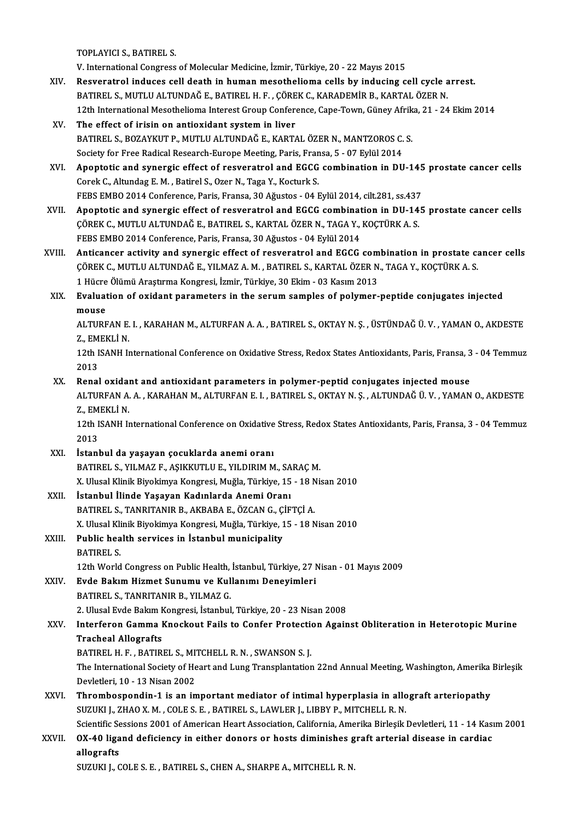TOPLAYICI S.,BATIREL S.

V. International Congress of Molecular Medicine, İzmir, Türkiye, 20 - 22 Mayıs 2015

- TOPLAYICI S., BATIREL S.<br>V. International Congress of Molecular Medicine, İzmir, Türkiye, 20 22 Mayıs 2015<br>XIV. Resveratrol induces cell death in human mesothelioma cells by inducing cell cycle arrest.<br>RATIREL S. MITH IL V. International Congress of Molecular Medicine, İzmir, Türkiye, 20 - 22 Mayıs 2015<br>Resveratrol induces cell death in human mesothelioma cells by inducing cell cycle a<br>BATIREL S., MUTLU ALTUNDAĞ E., BATIREL H. F. , ÇÖREK C Resveratrol induces cell death in human mesothelioma cells by inducing cell cycle arrest.<br>BATIREL S., MUTLU ALTUNDAĞ E., BATIREL H. F. , ÇÖREK C., KARADEMİR B., KARTAL ÖZER N.<br>12th International Mesothelioma Interest Group BATIREL S., MUTLU ALTUNDAĞ E., BATIREL H. F. , ÇÖREK C., KARADEMİR B., KARTAL ÖZER N.<br>12th International Mesothelioma Interest Group Conference, Cape-Town, Güney Afrika, 21 - 24<br>XV. The effect of irisin on antioxidant
- 12th International Mesothelioma Interest Group Conference, Cape-Town, Güney Afrik<br>The effect of irisin on antioxidant system in liver<br>BATIREL S., BOZAYKUT P., MUTLU ALTUNDAĞ E., KARTAL ÖZER N., MANTZOROS C. S.<br>Society for BATIREL S., BOZAYKUT P., MUTLU ALTUNDAĞ E., KARTAL ÖZER N., MANTZOROS C. S.<br>Society for Free Radical Research-Europe Meeting, Paris, Fransa, 5 - 07 Eylül 2014
- BATIREL S., BOZAYKUT P., MUTLU ALTUNDAĞ E., KARTAL ÖZER N., MANTZOROS C. S.<br>Society for Free Radical Research-Europe Meeting, Paris, Fransa, 5 07 Eylül 2014<br>XVI. Apoptotic and synergic effect of resveratrol and EGCG comb Corek C., Altundag E. M. , Batirel S., Ozer N., Taga Y., Kocturk S.<br>FEBS EMBO 2014 Conference, Paris, Fransa, 30 Ağustos - 04 Eylül 2014, cilt.281, ss.437 Apoptotic and synergic effect of resveratrol and EGCG combination in DU-145<br>Corek C., Altundag E. M. , Batirel S., Ozer N., Taga Y., Kocturk S.<br>FEBS EMBO 2014 Conference, Paris, Fransa, 30 Ağustos - 04 Eylül 2014, cilt.281
- XVII. Apoptotic and synergic effect of resveratrol and EGCG combination in DU-145 prostate cancer cells ÇÖREK C., MUTLU ALTUNDAĞ E., BATIREL S., KARTAL ÖZER N., TAGA Y., KOÇTÜRK A. S. FEBS EMBO 2014 Conference, Paris, Fransa, 30 Ağustos - 04 Eylül 2014
- XVIII. Anticancer activity and synergic effect of resveratrol and EGCG combination in prostate cancer cells FEBS EMBO 2014 Conference, Paris, Fransa, 30 Ağustos - 04 Eylül 2014<br>Anticancer activity and synergic effect of resveratrol and EGCG combination in prostate ca<br>ÇÖREK C., MUTLU ALTUNDAĞ E., YILMAZ A. M. , BATIREL S., KARTAL Anticancer activity and synergic effect of resveratrol and EGCG com<br>ÇÖREK C., MUTLU ALTUNDAĞ E., YILMAZ A. M. , BATIREL S., KARTAL ÖZER N<br>1 Hücre Ölümü Araştırma Kongresi, İzmir, Türkiye, 30 Ekim - 03 Kasım 2013<br>Fyalustion CÖREK C., MUTLU ALTUNDAĞ E., YILMAZ A. M. , BATIREL S., KARTAL ÖZER N., TAGA Y., KOÇTÜRK A. S.<br>1 Hücre Ölümü Araştırma Kongresi, İzmir, Türkiye, 30 Ekim - 03 Kasım 2013<br>XIX. Evaluation of oxidant parameters in the seru
- 1 Hücre Ölümü Araştırma Kongresi, İzmir, Türkiye, 30 Ekim 03 Kasım 2013<br>Evaluation of oxidant parameters in the serum samples of polymer-peptide conjugates injected<br>mouse Evaluation of oxidant parameters in the serum samples of polymer-peptide conjugates injected<br>mouse<br>ALTURFAN E. I. , KARAHAN M., ALTURFAN A. A. , BATIREL S., OKTAY N. Ş. , ÜSTÜNDAĞ Ü. V. , YAMAN O., AKDESTE<br>7. EMEKLİ N

mouse<br>ALTURFAN E.<br>Z., EMEKLİ N.<br>12th ISANH I. ALTURFAN E. I. , KARAHAN M., ALTURFAN A. A. , BATIREL S., OKTAY N. Ș. , ÜSTÜNDAĞ Ü. V. , YAMAN O., AKDESTE<br>Z., EMEKLİ N.<br>12th ISANH International Conference on Oxidative Stress, Redox States Antioxidants, Paris, Fransa, 3

Z., EMEKLİ N.<br>12th ISANH International Conference on Oxidative Stress, Redox States Antioxidants, Paris, Fransa, 3 - 04 Temmuz<br>2013

XX. Renal oxidant and antioxidant parameters in polymer-peptid conjugates injectedmouse 2013<br>Renal oxidant and antioxidant parameters in polymer-peptid conjugates injected mouse<br>ALTURFAN A. A. , KARAHAN M., ALTURFAN E. I. , BATIREL S., OKTAY N. Ş. , ALTUNDAĞ Ü. V. , YAMAN O., AKDESTE<br>7. EMEKLİ N Renal oxidal<br>ALTURFAN A.<br>Z., EMEKLİ N.<br>12th ISANH I. ALTURFAN A. A. , KARAHAN M., ALTURFAN E. I. , BATIREL S., OKTAY N. Ș. , ALTUNDAĞ Ü. V. , YAMAN O., AKDESTE<br>Z., EMEKLİ N.<br>12th ISANH International Conference on Oxidative Stress, Redox States Antioxidants, Paris, Fransa, 3

Z., EMEKLİ N.<br>12th ISANH International Conference on Oxidative Stress, Redox States Antioxidants, Paris, Fransa, 3 - 04 Temmuz<br>2013

- XXI. İstanbul da yaşayan çocuklarda anemi oranı BATIREL S., YILMAZ F., AŞIKKUTLU E., YILDIRIM M., SARAÇM. X.UlusalKlinikBiyokimyaKongresi,Muğla,Türkiye,15 -18Nisan2010
- XXII. İstanbul İlinde Yaşayan Kadınlarda Anemi Oranı BATIREL S., TANRITANIR B., AKBABA E., ÖZCAN G., ÇİFTÇİ A. X. Ulusal Klinik Biyokimya Kongresi, Muğla, Türkiye, 15 - 18 Nisan 2010 BATIREL S., TANRITANIR B., AKBABA E., ÖZCAN G., Ç.<br>X. Ulusal Klinik Biyokimya Kongresi, Muğla, Türkiye, 1<br>XXIII. Public health services in İstanbul municipality<br>PATIPEL S.
- X. Ulusal Kli<br>Public hea<br>BATIREL S.<br>12th World 12th World Congress on Public Health, İstanbul, Türkiye, 27 Nisan - 01 Mayıs 2009<br>12th World Congress on Public Health, İstanbul, Türkiye, 27 Nisan - 01 Mayıs 2009

BATIREL S.<br>12th World Congress on Public Health, İstanbul, Türkiye, 27 N<br>XXIV. Evde Bakım Hizmet Sunumu ve Kullanımı Deneyimleri<br>RATIREL S. TANPITANIR R. VILMAZ C 12th World Congress on Public Health,<br>**Evde Bakım Hizmet Sunumu ve Kul**<br>BATIREL S., TANRITANIR B., YILMAZ G. Evde Bakım Hizmet Sunumu ve Kullanımı Deneyimleri<br>BATIREL S., TANRITANIR B., YILMAZ G.<br>2. Ulusal Evde Bakım Kongresi, İstanbul, Türkiye, 20 - 23 Nisan 2008<br>Interferen Camma Knoskout Fails te Canfar Pretastion Asain

# BATIREL S., TANRITANIR B., YILMAZ G.<br>2. Ulusal Evde Bakım Kongresi, İstanbul, Türkiye, 20 - 23 Nisan 2008<br>XXV. Interferon Gamma Knockout Fails to Confer Protection Against Obliteration in Heterotopic Murine<br>Trasheal Al 2. Ulusal Evde Bakım M<br>Interferon Gamma I<br>Tracheal Allografts<br>PATIPEL H E PATIP Interferon Gamma Knockout Fails to Confer Protection<br>Tracheal Allografts<br>BATIREL H. F. , BATIREL S., MITCHELL R. N. , SWANSON S. J.<br>The International Society of Heart and Lung Transplantation

BATIREL H. F., BATIREL S., MITCHELL R. N., SWANSON S. J.

Tracheal Allografts<br>BATIREL H. F. , BATIREL S., MITCHELL R. N. , SWANSON S. J.<br>The International Society of Heart and Lung Transplantation 22nd Annual Meeting, Washington, Amerika Birleşik<br>Devletleri. 10 - 13 Nisan 2002 The International Society of Heart and Lung Transplantation 22nd Annual Meeting, Washington, Amerika<br>Devletleri, 10 - 13 Nisan 2002<br>XXVI. Thrombospondin-1 is an important mediator of intimal hyperplasia in allograft arteri

Devletleri, 10 - 13 Nisan 2002<br>Thrombospondin-1 is an important mediator of intimal hyperplasia in allo<br>SUZUKI J., ZHAO X. M. , COLE S. E. , BATIREL S., LAWLER J., LIBBY P., MITCHELL R. N.<br>Scientific Seccions 2001 of Ameri Thrombospondin-1 is an important mediator of intimal hyperplasia in allograft arteriopathy<br>SUZUKI J., ZHAO X. M. , COLE S. E. , BATIREL S., LAWLER J., LIBBY P., MITCHELL R. N.<br>Scientific Sessions 2001 of American Heart Ass SUZUKI J., ZHAO X. M. , COLE S. E. , BATIREL S., LAWLER J., LIBBY P., MITCHELL R. N.<br>Scientific Sessions 2001 of American Heart Association, California, Amerika Birleşik Devletleri, 11 - 14 Kası<br>XXVII. 0X-40 ligand deficie

# Scientific Se<br>OX-40 liga<br>allografts<br>SUZUZU OX-40 ligand deficiency in either donors or hosts diminishes graft arterial disease in cardiac<br>allografts<br>SUZUKI J., COLE S. E. , BATIREL S., CHEN A., SHARPE A., MITCHELL R. N.